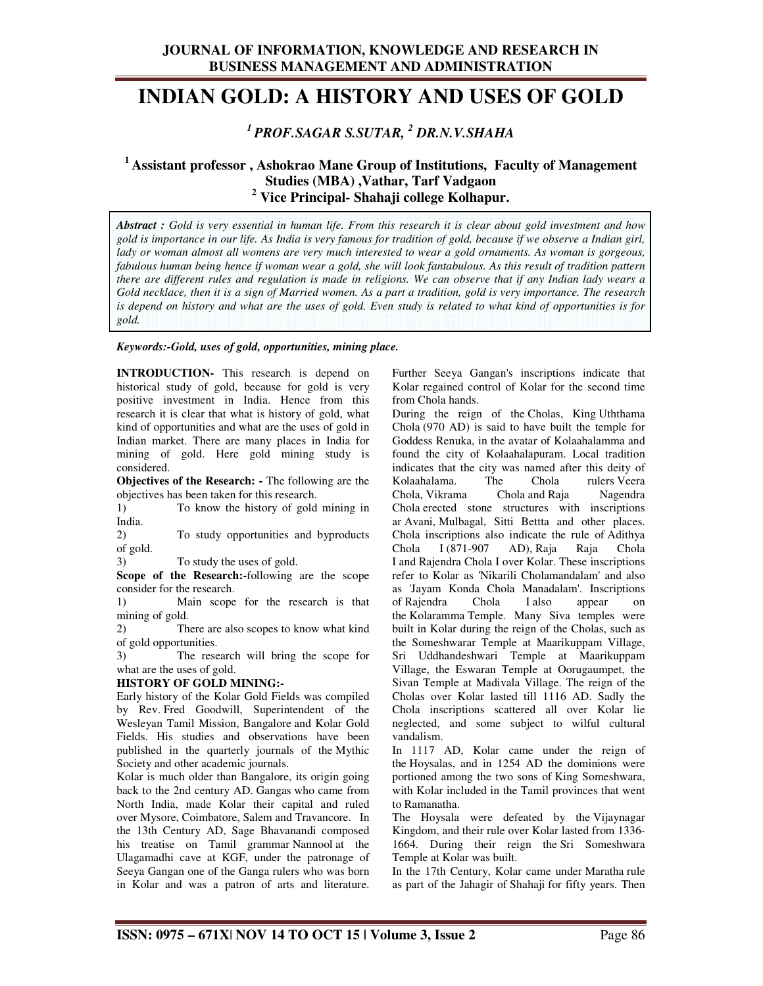## **JOURNAL OF INFORMATION, KNOWLEDGE AND RESEARCH IN BUSINESS MANAGEMENT AND ADMINISTRATION**

# **INDIAN GOLD: A HISTORY AND USES OF GOLD**

## *<sup>1</sup>PROF.SAGAR S.SUTAR, <sup>2</sup> DR.N.V.SHAHA*

## **<sup>1</sup>Assistant professor , Ashokrao Mane Group of Institutions, Faculty of Management Studies (MBA) ,Vathar, Tarf Vadgaon 2 Vice Principal- Shahaji college Kolhapur.**

*Abstract : Gold is very essential in human life. From this research it is clear about gold investment and how gold is importance in our life. As India is very famous for tradition of gold, because if we observe a Indian girl,*  lady or woman almost all womens are very much interested to wear a gold ornaments. As woman is gorgeous, fabulous human being hence if woman wear a gold, she will look fantabulous. As this result of tradition pattern *there are different rules and regulation is made in religions. We can observe that if any Indian lady wears a Gold necklace, then it is a sign of Married women. As a part a tradition, gold is very importance. The research is depend on history and what are the uses of gold. Even study is related to what kind of opportunities is for gold.* 

#### *Keywords:-Gold, uses of gold, opportunities, mining place.*

**INTRODUCTION-** This research is depend on historical study of gold, because for gold is very positive investment in India. Hence from this research it is clear that what is history of gold, what kind of opportunities and what are the uses of gold in Indian market. There are many places in India for mining of gold. Here gold mining study is considered.

**Objectives of the Research:** - The following are the objectives has been taken for this research.

1) To know the history of gold mining in India.

2) To study opportunities and byproducts of gold.

3) To study the uses of gold.

**Scope of the Research:-**following are the scope consider for the research.

1) Main scope for the research is that mining of gold.

2) There are also scopes to know what kind of gold opportunities.

3) The research will bring the scope for what are the uses of gold.

#### **HISTORY OF GOLD MINING:-**

Early history of the Kolar Gold Fields was compiled by Rev. Fred Goodwill, Superintendent of the Wesleyan Tamil Mission, Bangalore and Kolar Gold Fields. His studies and observations have been published in the quarterly journals of the Mythic Society and other academic journals.

Kolar is much older than Bangalore, its origin going back to the 2nd century AD. Gangas who came from North India, made Kolar their capital and ruled over Mysore, Coimbatore, Salem and Travancore. In the 13th Century AD, Sage Bhavanandi composed his treatise on Tamil grammar Nannool at the Ulagamadhi cave at KGF, under the patronage of Seeya Gangan one of the Ganga rulers who was born in Kolar and was a patron of arts and literature.

Further Seeya Gangan's inscriptions indicate that Kolar regained control of Kolar for the second time from Chola hands.

During the reign of the Cholas, King Uththama Chola (970 AD) is said to have built the temple for Goddess Renuka, in the avatar of Kolaahalamma and found the city of Kolaahalapuram. Local tradition indicates that the city was named after this deity of Kolaahalama. The Chola rulers Veera<br>Chola, Vikrama Chola and Raja Nagendra Chola and Raja Chola erected stone structures with inscriptions ar Avani, Mulbagal, Sitti Bettta and other places. Chola inscriptions also indicate the rule of Adithya Chola I (871-907 AD), Raja Raja Chola I and Rajendra Chola I over Kolar. These inscriptions refer to Kolar as 'Nikarili Cholamandalam' and also as 'Jayam Konda Chola Manadalam'. Inscriptions of Rajendra Chola I also appear on the Kolaramma Temple. Many Siva temples were built in Kolar during the reign of the Cholas, such as the Someshwarar Temple at Maarikuppam Village, Sri Uddhandeshwari Temple at Maarikuppam Village, the Eswaran Temple at Oorugaumpet, the Sivan Temple at Madivala Village. The reign of the Cholas over Kolar lasted till 1116 AD. Sadly the Chola inscriptions scattered all over Kolar lie neglected, and some subject to wilful cultural vandalism.

In 1117 AD, Kolar came under the reign of the Hoysalas, and in 1254 AD the dominions were portioned among the two sons of King Someshwara, with Kolar included in the Tamil provinces that went to Ramanatha.

The Hoysala were defeated by the Vijaynagar Kingdom, and their rule over Kolar lasted from 1336- 1664. During their reign the Sri Someshwara Temple at Kolar was built.

In the 17th Century, Kolar came under Maratha rule as part of the Jahagir of Shahaji for fifty years. Then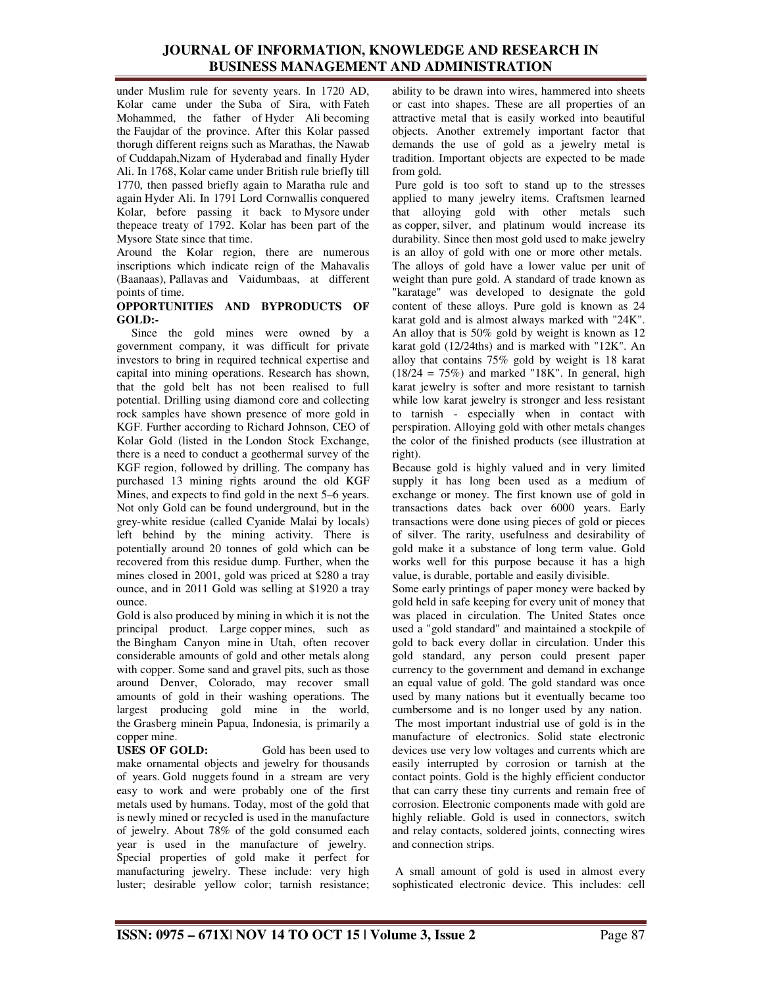### **JOURNAL OF INFORMATION, KNOWLEDGE AND RESEARCH IN BUSINESS MANAGEMENT AND ADMINISTRATION**

under Muslim rule for seventy years. In 1720 AD, Kolar came under the Suba of Sira, with Fateh Mohammed, the father of Hyder Ali becoming the Faujdar of the province. After this Kolar passed thorugh different reigns such as Marathas, the Nawab of Cuddapah,Nizam of Hyderabad and finally Hyder Ali. In 1768, Kolar came under British rule briefly till 1770, then passed briefly again to Maratha rule and again Hyder Ali. In 1791 Lord Cornwallis conquered Kolar, before passing it back to Mysore under thepeace treaty of 1792. Kolar has been part of the Mysore State since that time.

Around the Kolar region, there are numerous inscriptions which indicate reign of the Mahavalis (Baanaas), Pallavas and Vaidumbaas, at different points of time.

#### **OPPORTUNITIES AND BYPRODUCTS OF GOLD:-**

 Since the gold mines were owned by a government company, it was difficult for private investors to bring in required technical expertise and capital into mining operations. Research has shown, that the gold belt has not been realised to full potential. Drilling using diamond core and collecting rock samples have shown presence of more gold in KGF. Further according to Richard Johnson, CEO of Kolar Gold (listed in the London Stock Exchange, there is a need to conduct a geothermal survey of the KGF region, followed by drilling. The company has purchased 13 mining rights around the old KGF Mines, and expects to find gold in the next 5–6 years. Not only Gold can be found underground, but in the grey-white residue (called Cyanide Malai by locals) left behind by the mining activity. There is potentially around 20 tonnes of gold which can be recovered from this residue dump. Further, when the mines closed in 2001, gold was priced at \$280 a tray ounce, and in 2011 Gold was selling at \$1920 a tray ounce.

Gold is also produced by mining in which it is not the principal product. Large copper mines, such as the Bingham Canyon mine in Utah, often recover considerable amounts of gold and other metals along with copper. Some sand and gravel pits, such as those around Denver, Colorado, may recover small amounts of gold in their washing operations. The largest producing gold mine in the world, the Grasberg minein Papua, Indonesia, is primarily a copper mine.

**USES OF GOLD:** Gold has been used to make ornamental objects and jewelry for thousands of years. Gold nuggets found in a stream are very easy to work and were probably one of the first metals used by humans. Today, most of the gold that is newly mined or recycled is used in the manufacture of jewelry. About 78% of the gold consumed each year is used in the manufacture of jewelry. Special properties of gold make it perfect for manufacturing jewelry. These include: very high luster; desirable yellow color; tarnish resistance; ability to be drawn into wires, hammered into sheets or cast into shapes. These are all properties of an attractive metal that is easily worked into beautiful objects. Another extremely important factor that demands the use of gold as a jewelry metal is tradition. Important objects are expected to be made from gold.

 Pure gold is too soft to stand up to the stresses applied to many jewelry items. Craftsmen learned that alloying gold with other metals such as copper, silver, and platinum would increase its durability. Since then most gold used to make jewelry is an alloy of gold with one or more other metals. The alloys of gold have a lower value per unit of weight than pure gold. A standard of trade known as "karatage" was developed to designate the gold content of these alloys. Pure gold is known as 24 karat gold and is almost always marked with "24K". An alloy that is 50% gold by weight is known as 12 karat gold (12/24ths) and is marked with "12K". An alloy that contains 75% gold by weight is 18 karat  $(18/24 = 75%)$  and marked "18K". In general, high karat jewelry is softer and more resistant to tarnish while low karat jewelry is stronger and less resistant to tarnish - especially when in contact with perspiration. Alloying gold with other metals changes the color of the finished products (see illustration at right).

Because gold is highly valued and in very limited supply it has long been used as a medium of exchange or money. The first known use of gold in transactions dates back over 6000 years. Early transactions were done using pieces of gold or pieces of silver. The rarity, usefulness and desirability of gold make it a substance of long term value. Gold works well for this purpose because it has a high value, is durable, portable and easily divisible.

Some early printings of paper money were backed by gold held in safe keeping for every unit of money that was placed in circulation. The United States once used a "gold standard" and maintained a stockpile of gold to back every dollar in circulation. Under this gold standard, any person could present paper currency to the government and demand in exchange an equal value of gold. The gold standard was once used by many nations but it eventually became too cumbersome and is no longer used by any nation. The most important industrial use of gold is in the manufacture of electronics. Solid state electronic devices use very low voltages and currents which are easily interrupted by corrosion or tarnish at the contact points. Gold is the highly efficient conductor that can carry these tiny currents and remain free of corrosion. Electronic components made with gold are highly reliable. Gold is used in connectors, switch and relay contacts, soldered joints, connecting wires

 A small amount of gold is used in almost every sophisticated electronic device. This includes: cell

and connection strips.